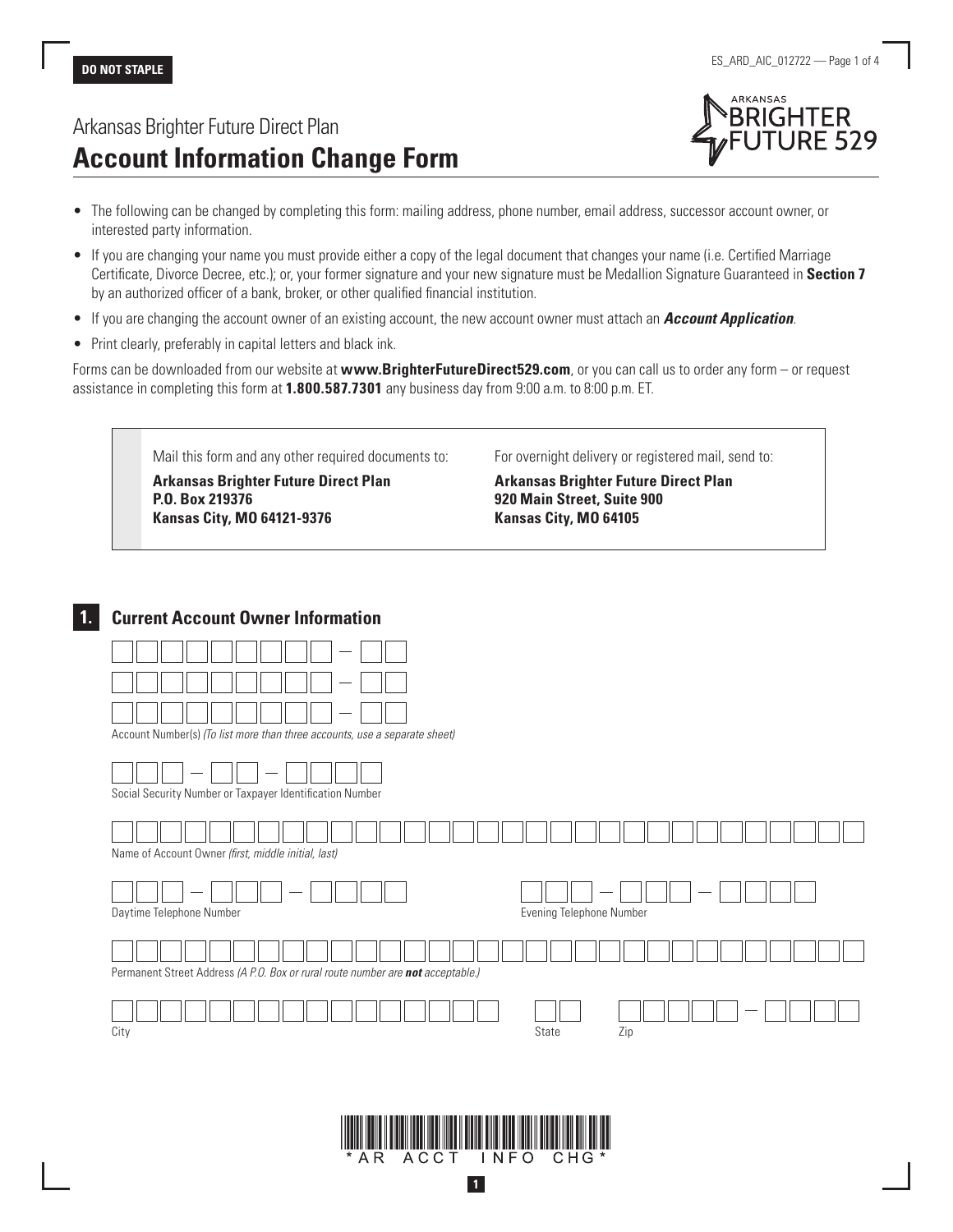# Arkansas Brighter Future Direct Plan **Account Information Change Form**



- The following can be changed by completing this form: mailing address, phone number, email address, successor account owner, or interested party information.
- If you are changing your name you must provide either a copy of the legal document that changes your name (i.e. Certified Marriage Certificate, Divorce Decree, etc.); or, your former signature and your new signature must be Medallion Signature Guaranteed in **Section 7** by an authorized officer of a bank, broker, or other qualified financial institution.
- If you are changing the account owner of an existing account, the new account owner must attach an *Account Application*.
- Print clearly, preferably in capital letters and black ink.

Forms can be downloaded from our website at **www.BrighterFutureDirect529.com**, or you can call us to order any form – or request assistance in completing this form at **1.800.587.7301** any business day from 9:00 a.m. to 8:00 p.m. ET.

Mail this form and any other required documents to:

**Arkansas Brighter Future Direct Plan P.O. Box 219376 Kansas City, MO 64121-9376**

For overnight delivery or registered mail, send to:

**Arkansas Brighter Future Direct Plan 920 Main Street, Suite 900 Kansas City, MO 64105**

# **1. Current Account Owner Information**





**1**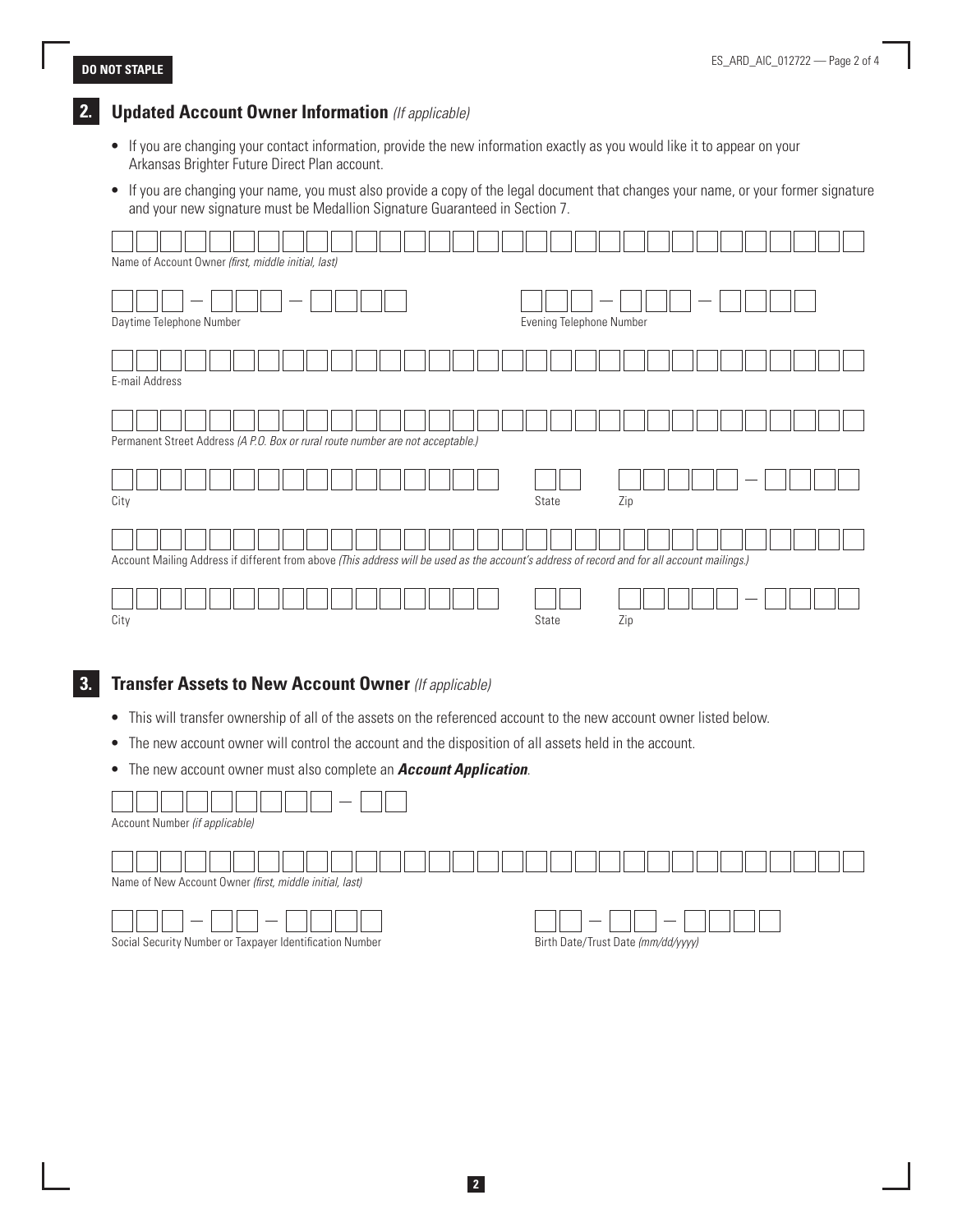## **2. Updated Account Owner Information** *(If applicable)*

- If you are changing your contact information, provide the new information exactly as you would like it to appear on your Arkansas Brighter Future Direct Plan account.
- If you are changing your name, you must also provide a copy of the legal document that changes your name, or your former signature and your new signature must be Medallion Signature Guaranteed in Section 7.



### **3. Transfer Assets to New Account Owner** *(If applicable)*

- This will transfer ownership of all of the assets on the referenced account to the new account owner listed below.
- The new account owner will control the account and the disposition of all assets held in the account.
- The new account owner must also complete an *Account Application*.

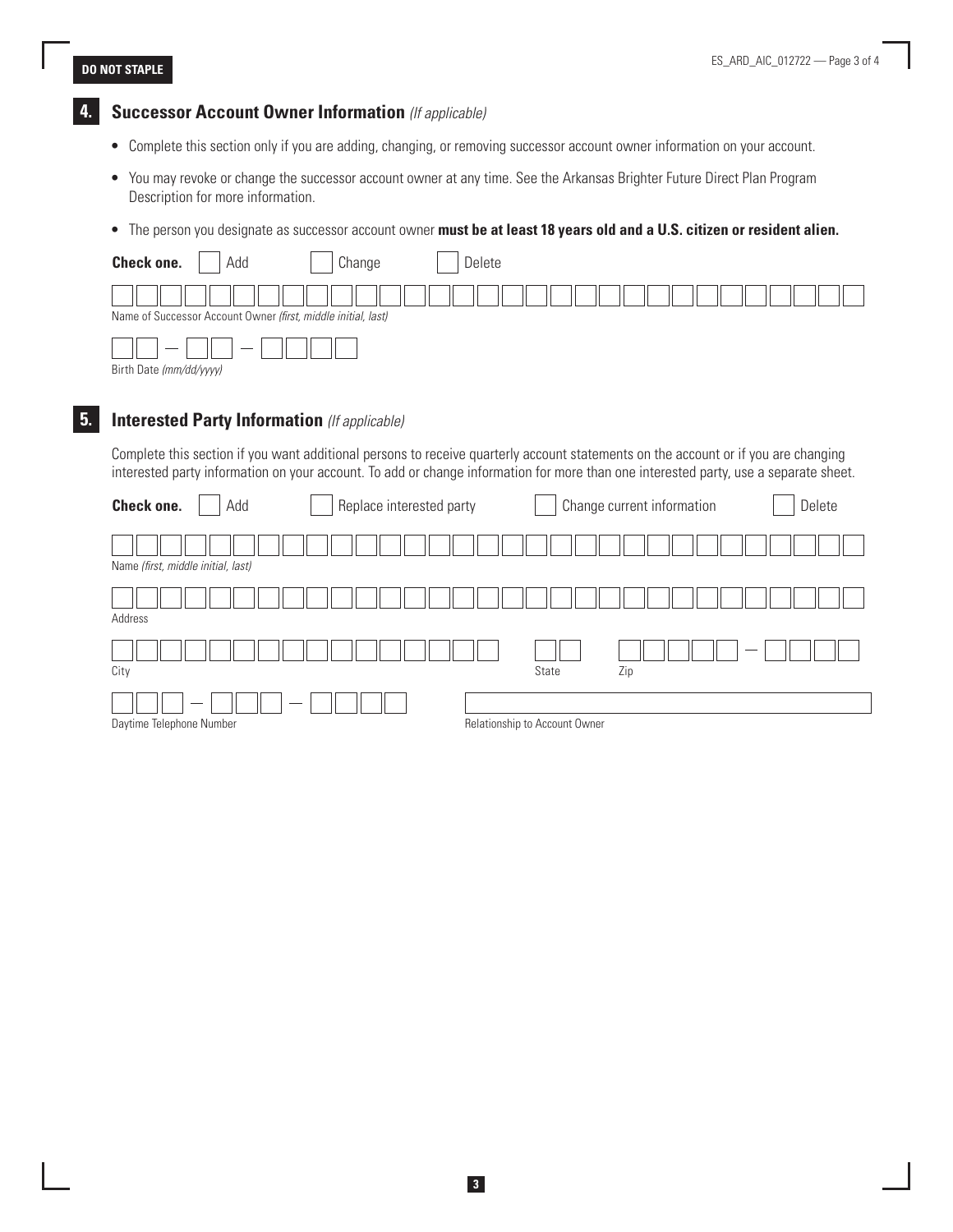# **4. Successor Account Owner Information** *(If applicable)*

- Complete this section only if you are adding, changing, or removing successor account owner information on your account.
- You may revoke or change the successor account owner at any time. See the Arkansas Brighter Future Direct Plan Program Description for more information.
- The person you designate as successor account owner **must be at least 18 years old and a U.S. citizen or resident alien.**

| <b>Check one.</b><br>Delete<br>Add<br>Change                                                                                       |
|------------------------------------------------------------------------------------------------------------------------------------|
|                                                                                                                                    |
| Name of Successor Account Owner (first, middle initial, last)                                                                      |
|                                                                                                                                    |
| Birth Date (mm/dd/yyyy)                                                                                                            |
|                                                                                                                                    |
| <b>Interested Party Information</b> (If applicable)                                                                                |
| Complete this section if you want additional persons to receive quarterly account statements on the account or if you are shapping |

Complete this section if you want additional persons to receive quarterly account statements on the account or if you are changing interested party information on your account. To add or change information for more than one interested party, use a separate sheet.

| Check one.<br>Add                  | Replace interested party | Change current information    | Delete |
|------------------------------------|--------------------------|-------------------------------|--------|
| Name (first, middle initial, last) |                          |                               |        |
| Address                            |                          |                               |        |
| City                               |                          | Zip<br>State                  |        |
| Daytime Telephone Number           |                          | Relationship to Account Owner |        |